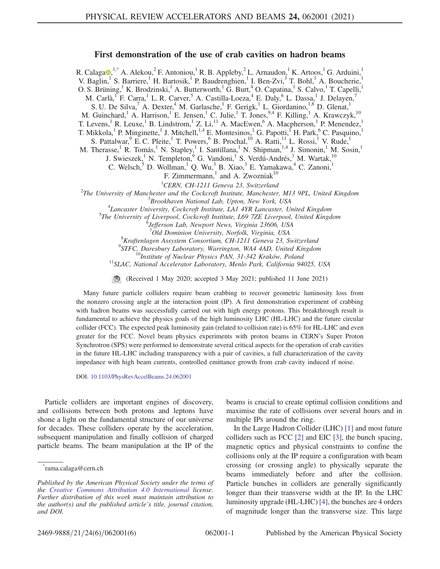## First demonstration of the use of crab cavities on hadron beams

<span id="page-0-1"></span>R. Calaga $\Phi$ ,<sup>[1,\\*](#page-0-0)</sup> A. Alekou,<sup>2</sup> F. Antoniou,<sup>1</sup> R. B. Appleby,<sup>2</sup> L. Arnaudon,<sup>1</sup> K. Artoos,<sup>1</sup> G. Arduini,<sup>1</sup> V. Baglin,<sup>1</sup> S. Barriere,<sup>1</sup> H. Bartosik,<sup>1</sup> P. Baudrenghien,<sup>1</sup> I. Ben-Zvi,<sup>3</sup> T. Bohl,<sup>1</sup> A. Boucherie,<sup>1</sup> O. S. Brüning,<sup>1</sup> K. Brodzinski,<sup>1</sup> A. Butterworth,<sup>1</sup> G. Burt,<sup>4</sup> O. Capatina,<sup>1</sup> S. Calvo,<sup>1</sup> T. Capelli,<sup>1</sup> M. Carlà, F. Carra, L. R. Carver, A. Castilla-Loeza, <sup>4</sup> E. Daly, <sup>6</sup> L. Dassa, <sup>1</sup> J. Delayen, <sup>7</sup> S. U. De Silva,<sup>7</sup> A. Dexter,<sup>4</sup> M. Garlasche,<sup>1</sup> F. Gerigk,<sup>1</sup> L. Giordanino,<sup>1,8</sup> D. Glenat,<sup>1</sup> M. Guinchard,<sup>1</sup> A. Harrison,<sup>1</sup> E. Jensen,<sup>1</sup> C. Julie,<sup>1</sup> T. Jones,<sup>9,4</sup> F. Killing,<sup>1</sup> A. Krawczyk,<sup>10</sup> T. Levens,<sup>1</sup> R. Leuxe,<sup>1</sup> B. Lindstrom,<sup>1</sup> Z. Li,<sup>11</sup> A. MacEwen,<sup>6</sup> A. Macpherson,<sup>1</sup> P. Menendez,<sup>1</sup> T. Mikkola,<sup>1</sup> P. Minginette,<sup>1</sup> J. Mitchell,<sup>1,4</sup> E. Montesinos,<sup>1</sup> G. Papotti,<sup>f</sup> H. Park,<sup>6</sup> C. Pasquino,<sup>1</sup> S. Pattalwar,  $9$  E. C. Pleite,  $1$  T. Powers,  $6$  B. Prochal,  $10$  A. Ratti,  $11$  L. Rossi,  $1$  V. Rude,  $1$ M. Therasse,<sup>1</sup> R. Tomás,<sup>1</sup> N. Stapley,<sup>1</sup> I. Santillana,<sup>1</sup> N. Shipman,<sup>1,4</sup> J. Simonin,<sup>1</sup> M. Sosin,<sup>1</sup> J. Swieszek,<sup>1</sup> N. Templeton,<sup>9</sup> G. Vandoni,<sup>1</sup> S. Verdú-Andrés,<sup>3</sup> M. Wartak,<sup>10</sup> C. Welsch,<sup>5</sup> D. Wollman,<sup>1</sup> Q. Wu,<sup>3</sup> B. Xiao,<sup>3</sup> E. Yamakawa,<sup>4</sup> C. Zanoni,<sup>1</sup> F. Zimmermann, $\frac{1}{1}$  and A. Zwozniak<sup>10</sup> <sup>1</sup>CERN, CH-1211 Geneva 23, Switzerland <sup>1</sup>CERN, CH-1211 Geneva 23, Switzerland<sup>2</sup><br><sup>2</sup>The University of Manghastar and the Cockaraft Institute, Manghastar The University of Manchester and the Cockcroft Institute, Manchester, M13 9PL, United Kingdom<br><sup>3</sup> Prockhaven National Lab Unton, Nav York, USA  ${}^{3}$ Brookhaven National Lab, Upton, New York, USA  ${}^{4}$ Lancaster University, Cockcroft Institute, LA1 4YR Lancaster, United Kingdom  $5$ The University of Liverpool, Cockcroft Institute, L69 7ZE Liverpool, United Kingdom Jefferson Lab, Newport News, Virginia 23606, USA <sup>7</sup>Old Dominion University, Norfolk, Virginia, USA<br><sup>8</sup> Englaces Aggustav Concentium CH 1211 Canaug 22, 8  ${}^8$ Kraftenlagen Assystem Consortium, CH-1211 Geneva 23, Switzerland  ${}^9$ STFC, Daresbury Laboratory, Warrington, WA4 4AD, United Kingdom  $^{10}$ Institute of Nuclear Physics PAN, 31-342 Kraków, Poland  $^{11}$ SLAC, National Accelerator Laboratory, Menlo Park, California 94025, USA

(Received 1 May 2020; accepted 3 May 2021; published 11 June 2021)

Many future particle colliders require beam crabbing to recover geometric luminosity loss from the nonzero crossing angle at the interaction point (IP). A first demonstration experiment of crabbing with hadron beams was successfully carried out with high energy protons. This breakthrough result is fundamental to achieve the physics goals of the high luminosity LHC (HL-LHC) and the future circular collider (FCC). The expected peak luminosity gain (related to collision rate) is 65% for HL-LHC and even greater for the FCC. Novel beam physics experiments with proton beams in CERN's Super Proton Synchrotron (SPS) were performed to demonstrate several critical aspects for the operation of crab cavities in the future HL-LHC including transparency with a pair of cavities, a full characterization of the cavity impedance with high beam currents, controlled emittance growth from crab cavity induced rf noise.

DOI: [10.1103/PhysRevAccelBeams.24.062001](https://doi.org/10.1103/PhysRevAccelBeams.24.062001)

Particle colliders are important engines of discovery, and collisions between both protons and leptons have shone a light on the fundamental structure of our universe for decades. These colliders operate by the acceleration, subsequent manipulation and finally collision of charged particle beams. The beam manipulation at the IP of the beams is crucial to create optimal collision conditions and maximise the rate of collisions over several hours and in multiple IPs around the ring.

In the Large Hadron Collider (LHC) [\[1\]](#page-4-0) and most future colliders such as FCC [\[2\]](#page-4-1) and EIC [\[3\],](#page-5-0) the bunch spacing, magnetic optics and physical constraints to confine the collisions only at the IP require a configuration with beam crossing (or crossing angle) to physically separate the beams immediately before and after the collision. Particle bunches in colliders are generally significantly longer than their transverse width at the IP. In the LHC luminosity upgrade (HL-LHC) [\[4\]](#page-5-1), the bunches are 4 orders of magnitude longer than the transverse size. This large

<span id="page-0-0"></span>[<sup>\\*</sup>](#page-0-1) rama.calaga@cern.ch

Published by the American Physical Society under the terms of the [Creative Commons Attribution 4.0 International](https://creativecommons.org/licenses/by/4.0/) license. Further distribution of this work must maintain attribution to the author(s) and the published article's title, journal citation, and DOI.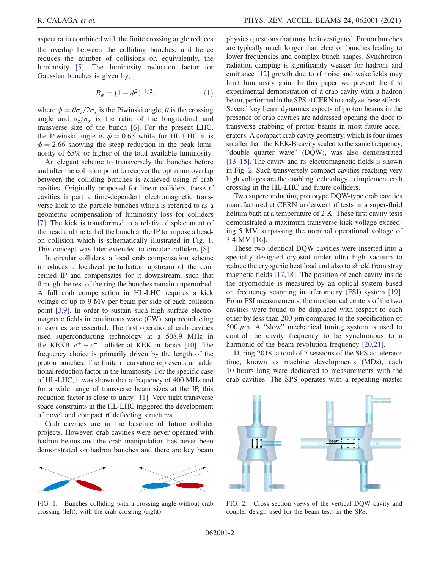aspect ratio combined with the finite crossing angle reduces the overlap between the colliding bunches, and hence reduces the number of collisions or, equivalently, the luminosity [\[5\].](#page-5-2) The luminosity reduction factor for Gaussian bunches is given by,

$$
R_{\phi} = (1 + \phi^2)^{-1/2}, \tag{1}
$$

where  $\phi = \theta \sigma_z / 2 \sigma_x$  is the Piwinski angle,  $\theta$  is the crossing angle and  $\sigma_z/\sigma_x$  is the ratio of the longitudinal and transverse size of the bunch [\[6\].](#page-5-3) For the present LHC, the Piwinski angle is  $\phi = 0.65$  while for HL-LHC it is  $\phi = 2.66$  showing the steep reduction in the peak luminosity of 65% or higher of the total available luminosity.

An elegant scheme to transversely the bunches before and after the collision point to recover the optimum overlap between the colliding bunches is achieved using rf crab cavities. Originally proposed for linear colliders, these rf cavities impart a time-dependent electromagnetic transverse kick to the particle bunches which is referred to as a geometric compensation of luminosity loss for colliders [\[7\]](#page-5-4). The kick is transformed to a relative displacement of the head and the tail of the bunch at the IP to impose a headon collision which is schematically illustrated in Fig. [1](#page-1-0). This concept was later extended to circular colliders [\[8\]](#page-5-5).

In circular colliders, a local crab compensation scheme introduces a localized perturbation upstream of the concerned IP and compensates for it downstream, such that through the rest of the ring the bunches remain unperturbed. A full crab compensation in HL-LHC requires a kick voltage of up to 9 MV per beam per side of each collision point [\[3,9\].](#page-5-0) In order to sustain such high surface electromagnetic fields in continuous wave (CW), superconducting rf cavities are essential. The first operational crab cavities used superconducting technology at a 508.9 MHz in the KEKB  $e^+ - e^-$  collider at KEK in Japan [\[10\]](#page-5-6). The frequency choice is primarily driven by the length of the proton bunches. The finite rf curvature represents an additional reduction factor in the luminosity. For the specific case of HL-LHC, it was shown that a frequency of 400 MHz and for a wide range of transverse beam sizes at the IP, this reduction factor is close to unity [\[11\]](#page-5-7). Very tight transverse space constraints in the HL-LHC triggered the development of novel and compact rf deflecting structures.

Crab cavities are in the baseline of future collider projects. However, crab cavities were never operated with hadron beams and the crab manipulation has never been demonstrated on hadron bunches and there are key beam

<span id="page-1-0"></span>

FIG. 1. Bunches colliding with a crossing angle without crab crossing (left); with the crab crossing (right).

physics questions that must be investigated. Proton bunches are typically much longer than electron bunches leading to lower frequencies and complex bunch shapes. Synchrotron radiation damping is significantly weaker for hadrons and emittance [\[12\]](#page-5-8) growth due to rf noise and wakefields may limit luminosity gain. In this paper we present the first experimental demonstration of a crab cavity with a hadron beam, performed in the SPS at CERN to analyze these effects. Several key beam dynamics aspects of proton beams in the presence of crab cavities are addressed opening the door to transverse crabbing of proton beams in most future accelerators. A compact crab cavity geometry, which is four times smaller than the KEK-B cavity scaled to the same frequency, "double quarter wave" (DQW), was also demonstrated [\[13](#page-5-9)–15]. The cavity and its electromagnetic fields is shown in Fig. [2.](#page-1-1) Such transversely compact cavities reaching very high voltages are the enabling technology to implement crab crossing in the HL-LHC and future colliders.

Two superconducting prototype DQW-type crab cavities manufactured at CERN underwent rf tests in a super-fluid helium bath at a temperature of 2 K. These first cavity tests demonstrated a maximum transverse-kick voltage exceeding 5 MV, surpassing the nominal operational voltage of 3.4 MV [\[16\].](#page-5-10)

These two identical DQW cavities were inserted into a specially designed cryostat under ultra high vacuum to reduce the cryogenic heat load and also to shield from stray magnetic fields [\[17,18\]](#page-5-11). The position of each cavity inside the cryomodule is measured by an optical system based on frequency scanning interferometry (FSI) system [\[19\]](#page-5-12). From FSI measurements, the mechanical centers of the two cavities were found to be displaced with respect to each other by less than 200  $\mu$ m compared to the specification of 500  $\mu$ m. A "slow" mechanical tuning system is used to control the cavity frequency to be synchronous to a harmonic of the beam revolution frequency [\[20,21\]](#page-5-13).

During 2018, a total of 7 sessions of the SPS accelerator time, known as machine developments (MDs), each 10 hours long were dedicated to measurements with the crab cavities. The SPS operates with a repeating master

<span id="page-1-1"></span>

FIG. 2. Cross section views of the vertical DQW cavity and coupler design used for the beam tests in the SPS.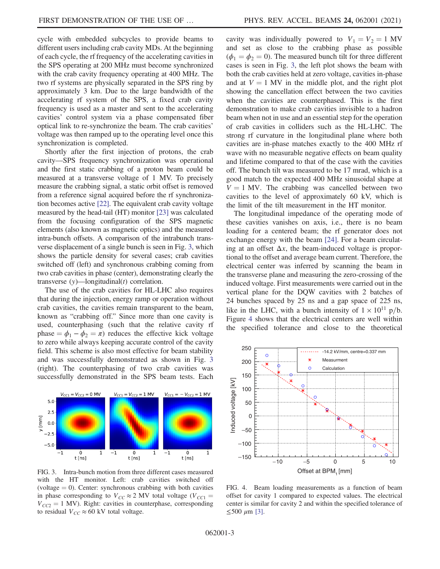cycle with embedded subcycles to provide beams to different users including crab cavity MDs. At the beginning of each cycle, the rf frequency of the accelerating cavities in the SPS operating at 200 MHz must become synchronized with the crab cavity frequency operating at 400 MHz. The two rf systems are physically separated in the SPS ring by approximately 3 km. Due to the large bandwidth of the accelerating rf system of the SPS, a fixed crab cavity frequency is used as a master and sent to the accelerating cavities' control system via a phase compensated fiber optical link to re-synchronize the beam. The crab cavities' voltage was then ramped up to the operating level once this synchronization is completed.

Shortly after the first injection of protons, the crab cavity—SPS frequency synchronization was operational and the first static crabbing of a proton beam could be measured at a transverse voltage of 1 MV. To precisely measure the crabbing signal, a static orbit offset is removed from a reference signal acquired before the rf synchronization becomes active [\[22\].](#page-5-14) The equivalent crab cavity voltage measured by the head-tail (HT) monitor [\[23\]](#page-5-15) was calculated from the focusing configuration of the SPS magnetic elements (also known as magnetic optics) and the measured intra-bunch offsets. A comparison of the intrabunch transverse displacement of a single bunch is seen in Fig. [3](#page-2-0), which shows the particle density for several cases; crab cavities switched off (left) and synchronous crabbing coming from two crab cavities in phase (center), demonstrating clearly the transverse  $(y)$ —longitudinal $(t)$  correlation.

The use of the crab cavities for HL-LHC also requires that during the injection, energy ramp or operation without crab cavities, the cavities remain transparent to the beam, known as "crabbing off." Since more than one cavity is used, counterphasing (such that the relative cavity rf phase  $= \phi_1 - \phi_2 = \pi$ ) reduces the effective kick voltage to zero while always keeping accurate control of the cavity field. This scheme is also most effective for beam stability and was successfully demonstrated as shown in Fig. [3](#page-2-0) (right). The counterphasing of two crab cavities was successfully demonstrated in the SPS beam tests. Each

<span id="page-2-0"></span>

FIG. 3. Intra-bunch motion from three different cases measured with the HT monitor. Left: crab cavities switched off (voltage  $= 0$ ). Center: synchronous crabbing with both cavities in phase corresponding to  $V_{CC} \approx 2$  MV total voltage ( $V_{CC1}$  =  $V_{CC2} = 1$  MV). Right: cavities in counterphase, corresponding to residual  $V_{CC} \approx 60$  kV total voltage.

cavity was individually powered to  $V_1 = V_2 = 1$  MV and set as close to the crabbing phase as possible  $(\phi_1 = \phi_2 = 0)$ . The measured bunch tilt for three different cases is seen in Fig. [3](#page-2-0), the left plot shows the beam with both the crab cavities held at zero voltage, cavities in-phase and at  $V = 1$  MV in the middle plot, and the right plot showing the cancellation effect between the two cavities when the cavities are counterphased. This is the first demonstration to make crab cavities invisible to a hadron beam when not in use and an essential step for the operation of crab cavities in colliders such as the HL-LHC. The strong rf curvature in the longitudinal plane where both cavities are in-phase matches exactly to the 400 MHz rf wave with no measurable negative effects on beam quality and lifetime compared to that of the case with the cavities off. The bunch tilt was measured to be 17 mrad, which is a good match to the expected 400 MHz sinusoidal shape at  $V = 1$  MV. The crabbing was cancelled between two cavities to the level of approximately 60 kV, which is the limit of the tilt measurement in the HT monitor.

The longitudinal impedance of the operating mode of these cavities vanishes on axis, i.e., there is no beam loading for a centered beam; the rf generator does not exchange energy with the beam [\[24\]](#page-5-16). For a beam circulating at an offset  $\Delta x$ , the beam-induced voltage is proportional to the offset and average beam current. Therefore, the electrical center was inferred by scanning the beam in the transverse plane and measuring the zero-crossing of the induced voltage. First measurements were carried out in the vertical plane for the DQW cavities with 2 batches of 24 bunches spaced by 25 ns and a gap space of 225 ns, like in the LHC, with a bunch intensity of  $1 \times 10^{11}$  p/b. Figure [4](#page-2-1) shows that the electrical centers are well within the specified tolerance and close to the theoretical

<span id="page-2-1"></span>

FIG. 4. Beam loading measurements as a function of beam offset for cavity 1 compared to expected values. The electrical center is similar for cavity 2 and within the specified tolerance of  $≤ 500 \mu m$  [\[3\]](#page-5-0).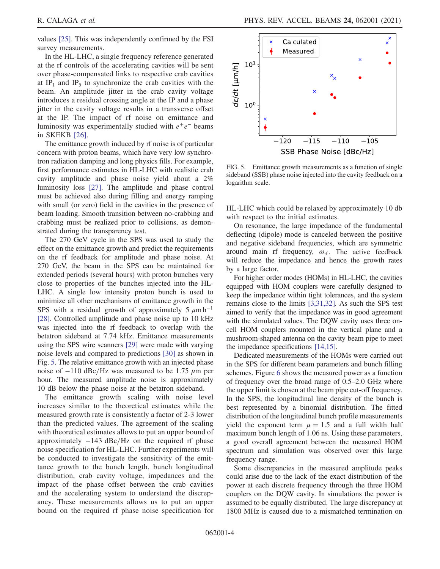values [\[25\].](#page-5-17) This was independently confirmed by the FSI survey measurements.

In the HL-LHC, a single frequency reference generated at the rf controls of the accelerating cavities will be sent over phase-compensated links to respective crab cavities at IP<sub>1</sub> and IP<sub>5</sub> to synchronize the crab cavities with the beam. An amplitude jitter in the crab cavity voltage introduces a residual crossing angle at the IP and a phase jitter in the cavity voltage results in a transverse offset at the IP. The impact of rf noise on emittance and luminosity was experimentally studied with  $e^+e^-$  beams in SKEKB [\[26\].](#page-5-18)

The emittance growth induced by rf noise is of particular concern with proton beams, which have very low synchrotron radiation damping and long physics fills. For example, first performance estimates in HL-LHC with realistic crab cavity amplitude and phase noise yield about a 2% luminosity loss [\[27\].](#page-5-19) The amplitude and phase control must be achieved also during filling and energy ramping with small (or zero) field in the cavities in the presence of beam loading. Smooth transition between no-crabbing and crabbing must be realized prior to collisions, as demonstrated during the transparency test.

The 270 GeV cycle in the SPS was used to study the effect on the emittance growth and predict the requirements on the rf feedback for amplitude and phase noise. At 270 GeV, the beam in the SPS can be maintained for extended periods (several hours) with proton bunches very close to properties of the bunches injected into the HL-LHC. A single low intensity proton bunch is used to minimize all other mechanisms of emittance growth in the SPS with a residual growth of approximately 5  $\mu$ m h<sup>-1</sup> [\[28\]](#page-5-20). Controlled amplitude and phase noise up to 10 kHz was injected into the rf feedback to overlap with the betatron sideband at 7.74 kHz. Emittance measurements using the SPS wire scanners [\[29\]](#page-5-21) were made with varying noise levels and compared to predictions [\[30\]](#page-5-22) as shown in Fig. [5.](#page-3-0) The relative emittance growth with an injected phase noise of  $-110$  dBc/Hz was measured to be 1.75  $\mu$ m per hour. The measured amplitude noise is approximately 10 dB below the phase noise at the betatron sideband.

The emittance growth scaling with noise level increases similar to the theoretical estimates while the measured growth rate is consistently a factor of 2-3 lower than the predicted values. The agreement of the scaling with theoretical estimates allows to put an upper bound of approximately  $-143$  dBc/Hz on the required rf phase noise specification for HL-LHC. Further experiments will be conducted to investigate the sensitivity of the emittance growth to the bunch length, bunch longitudinal distribution, crab cavity voltage, impedances and the impact of the phase offset between the crab cavities and the accelerating system to understand the discrepancy. These measurements allows us to put an upper bound on the required rf phase noise specification for

<span id="page-3-0"></span>

FIG. 5. Emittance growth measurements as a function of single sideband (SSB) phase noise injected into the cavity feedback on a logarithm scale.

HL-LHC which could be relaxed by approximately 10 db with respect to the initial estimates.

On resonance, the large impedance of the fundamental deflecting (dipole) mode is canceled between the positive and negative sideband frequencies, which are symmetric around main rf frequency,  $\omega_{\text{rf}}$ . The active feedback will reduce the impedance and hence the growth rates by a large factor.

For higher order modes (HOMs) in HL-LHC, the cavities equipped with HOM couplers were carefully designed to keep the impedance within tight tolerances, and the system remains close to the limits [\[3,31,32\]](#page-5-0). As such the SPS test aimed to verify that the impedance was in good agreement with the simulated values. The DQW cavity uses three oncell HOM couplers mounted in the vertical plane and a mushroom-shaped antenna on the cavity beam pipe to meet the impedance specifications [\[14,15\]](#page-5-23).

Dedicated measurements of the HOMs were carried out in the SPS for different beam parameters and bunch filling schemes. Figure [6](#page-4-2) shows the measured power as a function of frequency over the broad range of 0.5–2.0 GHz where the upper limit is chosen at the beam pipe cut-off frequency. In the SPS, the longitudinal line density of the bunch is best represented by a binomial distribution. The fitted distribution of the longitudinal bunch profile measurements yield the exponent term  $\mu = 1.5$  and a full width half maximum bunch length of 1.06 ns. Using these parameters, a good overall agreement between the measured HOM spectrum and simulation was observed over this large frequency range.

Some discrepancies in the measured amplitude peaks could arise due to the lack of the exact distribution of the power at each discrete frequency through the three HOM couplers on the DQW cavity. In simulations the power is assumed to be equally distributed. The large discrepancy at 1800 MHz is caused due to a mismatched termination on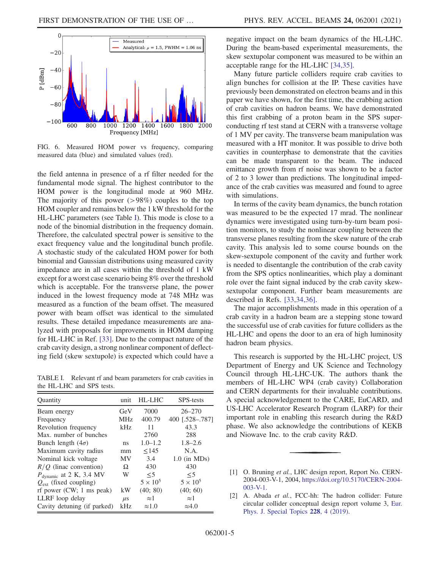<span id="page-4-2"></span>

FIG. 6. Measured HOM power vs frequency, comparing measured data (blue) and simulated values (red).

the field antenna in presence of a rf filter needed for the fundamental mode signal. The highest contributor to the HOM power is the longitudinal mode at 960 MHz. The majority of this power  $(>98%)$  couples to the top HOM coupler and remains below the 1 kW threshold for the HL-LHC parameters (see Table [I](#page-4-3)). This mode is close to a node of the binomial distribution in the frequency domain. Therefore, the calculated spectral power is sensitive to the exact frequency value and the longitudinal bunch profile. A stochastic study of the calculated HOM power for both binomial and Gaussian distributions using measured cavity impedance are in all cases within the threshold of 1 kW except for a worst case scenario being 8% over the threshold which is acceptable. For the transverse plane, the power induced in the lowest frequency mode at 748 MHz was measured as a function of the beam offset. The measured power with beam offset was identical to the simulated results. These detailed impedance measurements are analyzed with proposals for improvements in HOM damping for HL-LHC in Ref. [\[33\].](#page-5-24) Due to the compact nature of the crab cavity design, a strong nonlinear component of deflecting field (skew sextupole) is expected which could have a

<span id="page-4-3"></span>TABLE I. Relevant rf and beam parameters for crab cavities in the HL-LHC and SPS tests.

| Quantity                            | unit               | HL-LHC          | <b>SPS-tests</b> |
|-------------------------------------|--------------------|-----------------|------------------|
| Beam energy                         | GeV                | 7000            | $26 - 270$       |
| Frequency                           | <b>MHz</b>         | 400.79          | 400 [.528-.787]  |
| Revolution frequency                | kHz                | 11              | 43.3             |
| Max. number of bunches              |                    | 2760            | 288              |
| Bunch length $(4\sigma)$            | ns                 | $1.0 - 1.2$     | $1.8 - 2.6$      |
| Maximum cavity radius               | mm                 | $\leq$ 145      | N.A.             |
| Nominal kick voltage                | ΜV                 | 3.4             | $1.0$ (in MDs)   |
| $R/Q$ (linac convention)            | Ω                  | 430             | 430              |
| $P_{\text{dynamic}}$ at 2 K, 3.4 MV | W                  | $\leq$ 5        | $\leq$ 5         |
| $Q_{\text{ext}}$ (fixed coupling)   |                    | $5 \times 10^5$ | $5 \times 10^5$  |
| rf power (CW; 1 ms peak)            | kW                 | (40; 80)        | (40; 60)         |
| LLRF loop delay                     | $\mu$ <sub>S</sub> | $\approx$ 1     | $\approx$ 1      |
| Cavity detuning (if parked)         | kHz                | $\approx 1.0$   | $\approx 4.0$    |

negative impact on the beam dynamics of the HL-LHC. During the beam-based experimental measurements, the skew sextupolar component was measured to be within an acceptable range for the HL-LHC [\[34,35\].](#page-5-25)

Many future particle colliders require crab cavities to align bunches for collision at the IP. These cavities have previously been demonstrated on electron beams and in this paper we have shown, for the first time, the crabbing action of crab cavities on hadron beams. We have demonstrated this first crabbing of a proton beam in the SPS superconducting rf test stand at CERN with a transverse voltage of 1 MV per cavity. The transverse beam manipulation was measured with a HT monitor. It was possible to drive both cavities in counterphase to demonstrate that the cavities can be made transparent to the beam. The induced emittance growth from rf noise was shown to be a factor of 2 to 3 lower than predictions. The longitudinal impedance of the crab cavities was measured and found to agree with simulations.

In terms of the cavity beam dynamics, the bunch rotation was measured to be the expected 17 mrad. The nonlinear dynamics were investigated using turn-by-turn beam position monitors, to study the nonlinear coupling between the transverse planes resulting from the skew nature of the crab cavity. This analysis led to some course bounds on the skew-sextupole component of the cavity and further work is needed to disentangle the contribution of the crab cavity from the SPS optics nonlinearities, which play a dominant role over the faint signal induced by the crab cavity skewsextupolar component. Further beam measurements are described in Refs. [\[33,34,36\].](#page-5-24)

The major accomplishments made in this operation of a crab cavity in a hadron beam are a stepping stone toward the successful use of crab cavities for future colliders as the HL-LHC and opens the door to an era of high luminosity hadron beam physics.

This research is supported by the HL-LHC project, US Department of Energy and UK Science and Technology Council through HL-LHC-UK. The authors thank the members of HL-LHC WP4 (crab cavity) Collaboration and CERN departments for their invaluable contributions. A special acknowledgement to the CARE, EuCARD, and US-LHC Accelerator Research Program (LARP) for their important role in enabling this research during the R&D phase. We also acknowledge the contributions of KEKB and Niowave Inc. to the crab cavity R&D.

<span id="page-4-0"></span><sup>[1]</sup> O. Bruning et al., LHC design report, Report No. CERN-2004-003-V-1, 2004, [https://doi.org/10.5170/CERN-2004-](https://doi.org/10.5170/CERN-2004-003-V-1) [003-V-1.](https://doi.org/10.5170/CERN-2004-003-V-1)

<span id="page-4-1"></span><sup>[2]</sup> A. Abada et al., FCC-hh: The hadron collider: Future circular collider conceptual design report volume 3, [Eur.](https://doi.org/10.1140/epjst/e2019-900087-0) [Phys. J. Special Topics](https://doi.org/10.1140/epjst/e2019-900087-0) 228, 4 (2019).